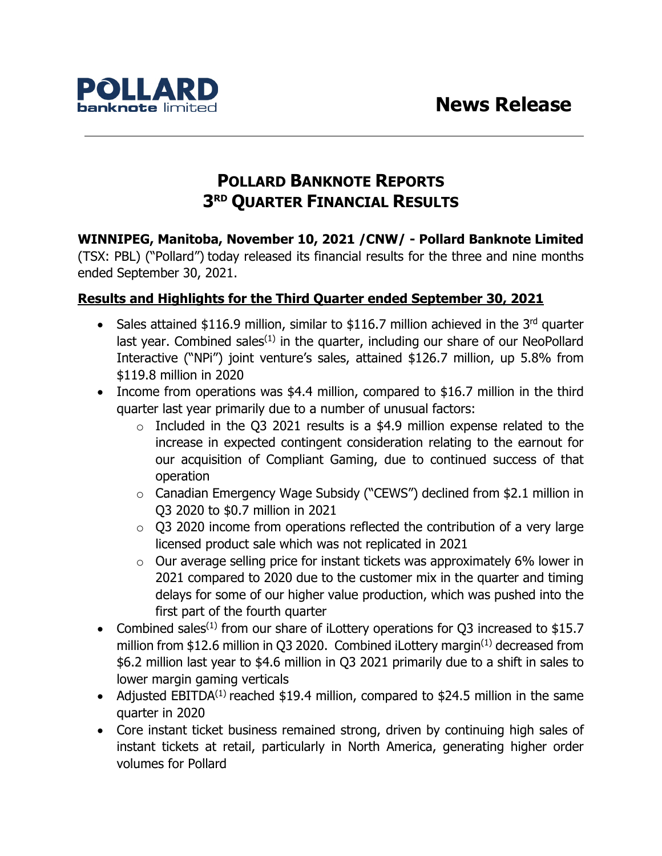

# **POLLARD BANKNOTE REPORTS 3RD QUARTER FINANCIAL RESULTS**

**WINNIPEG, Manitoba, November 10, 2021 /CNW/ - Pollard Banknote Limited** (TSX: PBL) ("Pollard") today released its financial results for the three and nine months ended September 30, 2021.

# **Results and Highlights for the Third Quarter ended September 30, 2021**

- Sales attained  $$116.9$  million, similar to  $$116.7$  million achieved in the 3<sup>rd</sup> quarter last year. Combined sales<sup> $(1)$ </sup> in the quarter, including our share of our NeoPollard Interactive ("NPi") joint venture's sales, attained \$126.7 million, up 5.8% from \$119.8 million in 2020
- Income from operations was \$4.4 million, compared to \$16.7 million in the third quarter last year primarily due to a number of unusual factors:
	- $\circ$  Included in the Q3 2021 results is a \$4.9 million expense related to the increase in expected contingent consideration relating to the earnout for our acquisition of Compliant Gaming, due to continued success of that operation
	- o Canadian Emergency Wage Subsidy ("CEWS") declined from \$2.1 million in Q3 2020 to \$0.7 million in 2021
	- $\circ$  Q3 2020 income from operations reflected the contribution of a very large licensed product sale which was not replicated in 2021
	- o Our average selling price for instant tickets was approximately 6% lower in 2021 compared to 2020 due to the customer mix in the quarter and timing delays for some of our higher value production, which was pushed into the first part of the fourth quarter
- Combined sales<sup>(1)</sup> from our share of iLottery operations for Q3 increased to \$15.7 million from \$12.6 million in Q3 2020. Combined iLottery margin<sup>(1)</sup> decreased from \$6.2 million last year to \$4.6 million in Q3 2021 primarily due to a shift in sales to lower margin gaming verticals
- Adjusted EBITDA<sup>(1)</sup> reached \$19.4 million, compared to \$24.5 million in the same quarter in 2020
- Core instant ticket business remained strong, driven by continuing high sales of instant tickets at retail, particularly in North America, generating higher order volumes for Pollard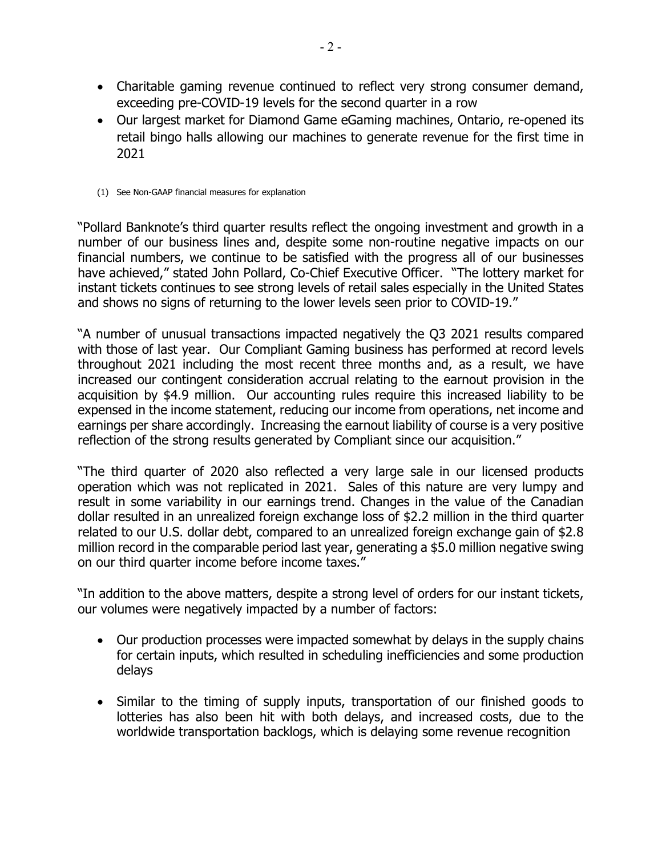- Charitable gaming revenue continued to reflect very strong consumer demand, exceeding pre-COVID-19 levels for the second quarter in a row
- Our largest market for Diamond Game eGaming machines, Ontario, re-opened its retail bingo halls allowing our machines to generate revenue for the first time in 2021
- (1) See Non-GAAP financial measures for explanation

"Pollard Banknote's third quarter results reflect the ongoing investment and growth in a number of our business lines and, despite some non-routine negative impacts on our financial numbers, we continue to be satisfied with the progress all of our businesses have achieved," stated John Pollard, Co-Chief Executive Officer. "The lottery market for instant tickets continues to see strong levels of retail sales especially in the United States and shows no signs of returning to the lower levels seen prior to COVID-19."

"A number of unusual transactions impacted negatively the Q3 2021 results compared with those of last year. Our Compliant Gaming business has performed at record levels throughout 2021 including the most recent three months and, as a result, we have increased our contingent consideration accrual relating to the earnout provision in the acquisition by \$4.9 million. Our accounting rules require this increased liability to be expensed in the income statement, reducing our income from operations, net income and earnings per share accordingly. Increasing the earnout liability of course is a very positive reflection of the strong results generated by Compliant since our acquisition."

"The third quarter of 2020 also reflected a very large sale in our licensed products operation which was not replicated in 2021. Sales of this nature are very lumpy and result in some variability in our earnings trend. Changes in the value of the Canadian dollar resulted in an unrealized foreign exchange loss of \$2.2 million in the third quarter related to our U.S. dollar debt, compared to an unrealized foreign exchange gain of \$2.8 million record in the comparable period last year, generating a \$5.0 million negative swing on our third quarter income before income taxes."

"In addition to the above matters, despite a strong level of orders for our instant tickets, our volumes were negatively impacted by a number of factors:

- Our production processes were impacted somewhat by delays in the supply chains for certain inputs, which resulted in scheduling inefficiencies and some production delays
- Similar to the timing of supply inputs, transportation of our finished goods to lotteries has also been hit with both delays, and increased costs, due to the worldwide transportation backlogs, which is delaying some revenue recognition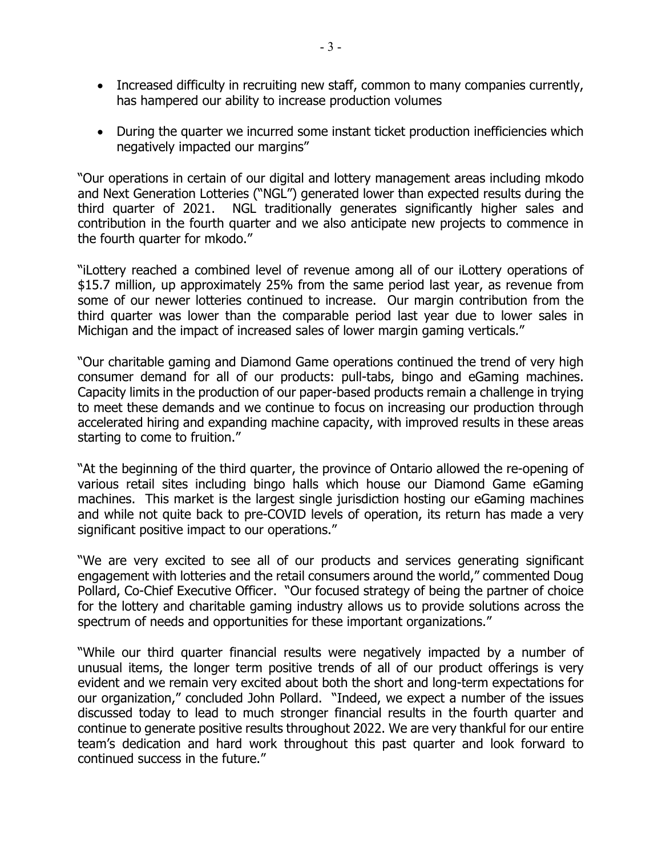- Increased difficulty in recruiting new staff, common to many companies currently, has hampered our ability to increase production volumes
- During the quarter we incurred some instant ticket production inefficiencies which negatively impacted our margins"

"Our operations in certain of our digital and lottery management areas including mkodo and Next Generation Lotteries ("NGL") generated lower than expected results during the third quarter of 2021. NGL traditionally generates significantly higher sales and contribution in the fourth quarter and we also anticipate new projects to commence in the fourth quarter for mkodo."

"iLottery reached a combined level of revenue among all of our iLottery operations of \$15.7 million, up approximately 25% from the same period last year, as revenue from some of our newer lotteries continued to increase. Our margin contribution from the third quarter was lower than the comparable period last year due to lower sales in Michigan and the impact of increased sales of lower margin gaming verticals."

"Our charitable gaming and Diamond Game operations continued the trend of very high consumer demand for all of our products: pull-tabs, bingo and eGaming machines. Capacity limits in the production of our paper-based products remain a challenge in trying to meet these demands and we continue to focus on increasing our production through accelerated hiring and expanding machine capacity, with improved results in these areas starting to come to fruition."

"At the beginning of the third quarter, the province of Ontario allowed the re-opening of various retail sites including bingo halls which house our Diamond Game eGaming machines. This market is the largest single jurisdiction hosting our eGaming machines and while not quite back to pre-COVID levels of operation, its return has made a very significant positive impact to our operations."

"We are very excited to see all of our products and services generating significant engagement with lotteries and the retail consumers around the world," commented Doug Pollard, Co-Chief Executive Officer. "Our focused strategy of being the partner of choice for the lottery and charitable gaming industry allows us to provide solutions across the spectrum of needs and opportunities for these important organizations."

"While our third quarter financial results were negatively impacted by a number of unusual items, the longer term positive trends of all of our product offerings is very evident and we remain very excited about both the short and long-term expectations for our organization," concluded John Pollard. "Indeed, we expect a number of the issues discussed today to lead to much stronger financial results in the fourth quarter and continue to generate positive results throughout 2022. We are very thankful for our entire team's dedication and hard work throughout this past quarter and look forward to continued success in the future."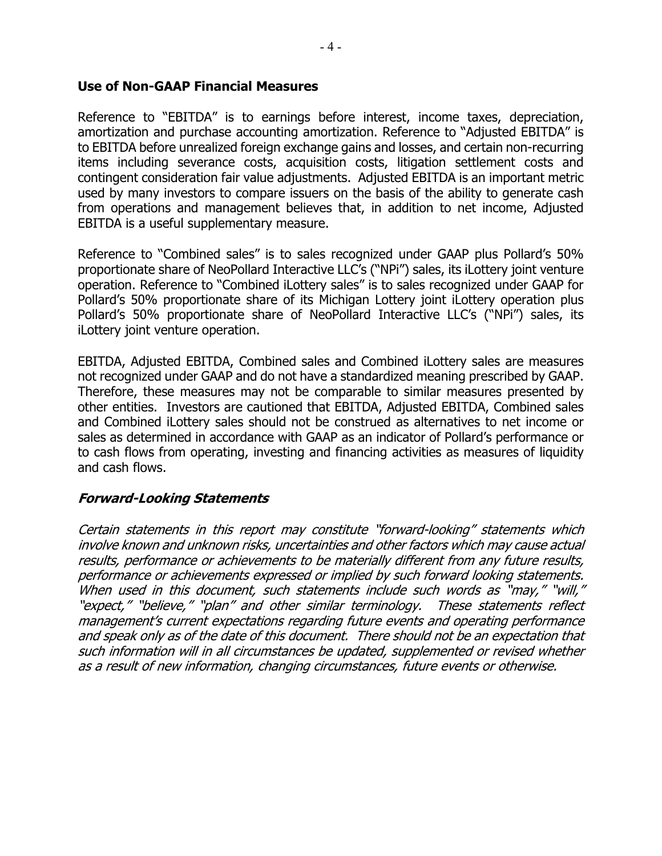#### **Use of Non-GAAP Financial Measures**

Reference to "EBITDA" is to earnings before interest, income taxes, depreciation, amortization and purchase accounting amortization. Reference to "Adjusted EBITDA" is to EBITDA before unrealized foreign exchange gains and losses, and certain non-recurring items including severance costs, acquisition costs, litigation settlement costs and contingent consideration fair value adjustments. Adjusted EBITDA is an important metric used by many investors to compare issuers on the basis of the ability to generate cash from operations and management believes that, in addition to net income, Adjusted EBITDA is a useful supplementary measure.

Reference to "Combined sales" is to sales recognized under GAAP plus Pollard's 50% proportionate share of NeoPollard Interactive LLC's ("NPi") sales, its iLottery joint venture operation. Reference to "Combined iLottery sales" is to sales recognized under GAAP for Pollard's 50% proportionate share of its Michigan Lottery joint iLottery operation plus Pollard's 50% proportionate share of NeoPollard Interactive LLC's ("NPi") sales, its iLottery joint venture operation.

EBITDA, Adjusted EBITDA, Combined sales and Combined iLottery sales are measures not recognized under GAAP and do not have a standardized meaning prescribed by GAAP. Therefore, these measures may not be comparable to similar measures presented by other entities. Investors are cautioned that EBITDA, Adjusted EBITDA, Combined sales and Combined iLottery sales should not be construed as alternatives to net income or sales as determined in accordance with GAAP as an indicator of Pollard's performance or to cash flows from operating, investing and financing activities as measures of liquidity and cash flows.

### **Forward-Looking Statements**

Certain statements in this report may constitute "forward-looking" statements which involve known and unknown risks, uncertainties and other factors which may cause actual results, performance or achievements to be materially different from any future results, performance or achievements expressed or implied by such forward looking statements. When used in this document, such statements include such words as "may," "will," "expect," "believe," "plan" and other similar terminology. These statements reflect management's current expectations regarding future events and operating performance and speak only as of the date of this document. There should not be an expectation that such information will in all circumstances be updated, supplemented or revised whether as a result of new information, changing circumstances, future events or otherwise.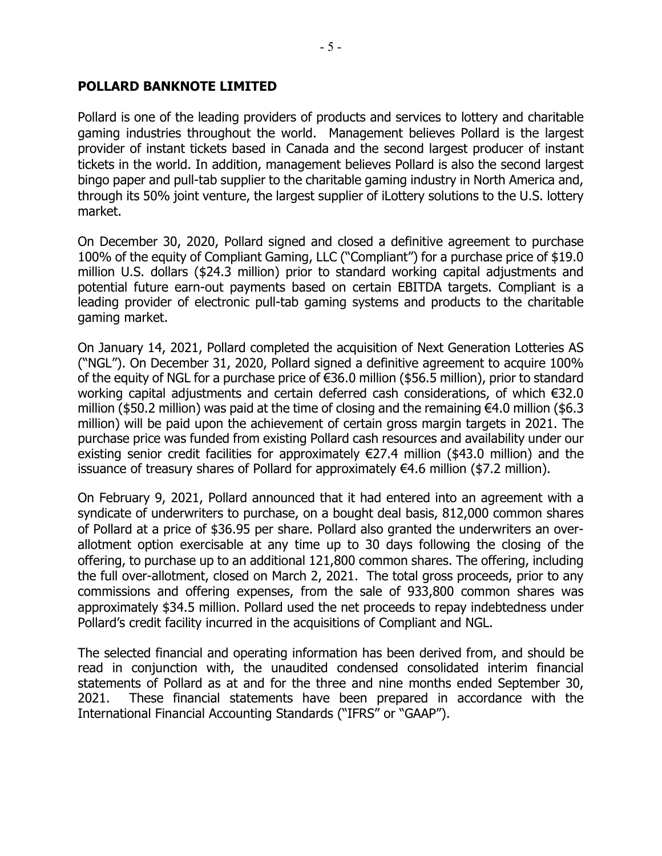### **POLLARD BANKNOTE LIMITED**

Pollard is one of the leading providers of products and services to lottery and charitable gaming industries throughout the world. Management believes Pollard is the largest provider of instant tickets based in Canada and the second largest producer of instant tickets in the world. In addition, management believes Pollard is also the second largest bingo paper and pull-tab supplier to the charitable gaming industry in North America and, through its 50% joint venture, the largest supplier of iLottery solutions to the U.S. lottery market.

On December 30, 2020, Pollard signed and closed a definitive agreement to purchase 100% of the equity of Compliant Gaming, LLC ("Compliant") for a purchase price of \$19.0 million U.S. dollars (\$24.3 million) prior to standard working capital adjustments and potential future earn-out payments based on certain EBITDA targets. Compliant is a leading provider of electronic pull-tab gaming systems and products to the charitable gaming market.

On January 14, 2021, Pollard completed the acquisition of Next Generation Lotteries AS ("NGL"). On December 31, 2020, Pollard signed a definitive agreement to acquire 100% of the equity of NGL for a purchase price of €36.0 million (\$56.5 million), prior to standard working capital adjustments and certain deferred cash considerations, of which €32.0 million (\$50.2 million) was paid at the time of closing and the remaining  $€4.0$  million (\$6.3 million) will be paid upon the achievement of certain gross margin targets in 2021. The purchase price was funded from existing Pollard cash resources and availability under our existing senior credit facilities for approximately  $E$ 27.4 million (\$43.0 million) and the issuance of treasury shares of Pollard for approximately  $€4.6$  million (\$7.2 million).

On February 9, 2021, Pollard announced that it had entered into an agreement with a syndicate of underwriters to purchase, on a bought deal basis, 812,000 common shares of Pollard at a price of \$36.95 per share. Pollard also granted the underwriters an overallotment option exercisable at any time up to 30 days following the closing of the offering, to purchase up to an additional 121,800 common shares. The offering, including the full over-allotment, closed on March 2, 2021. The total gross proceeds, prior to any commissions and offering expenses, from the sale of 933,800 common shares was approximately \$34.5 million. Pollard used the net proceeds to repay indebtedness under Pollard's credit facility incurred in the acquisitions of Compliant and NGL.

The selected financial and operating information has been derived from, and should be read in conjunction with, the unaudited condensed consolidated interim financial statements of Pollard as at and for the three and nine months ended September 30, 2021. These financial statements have been prepared in accordance with the International Financial Accounting Standards ("IFRS" or "GAAP").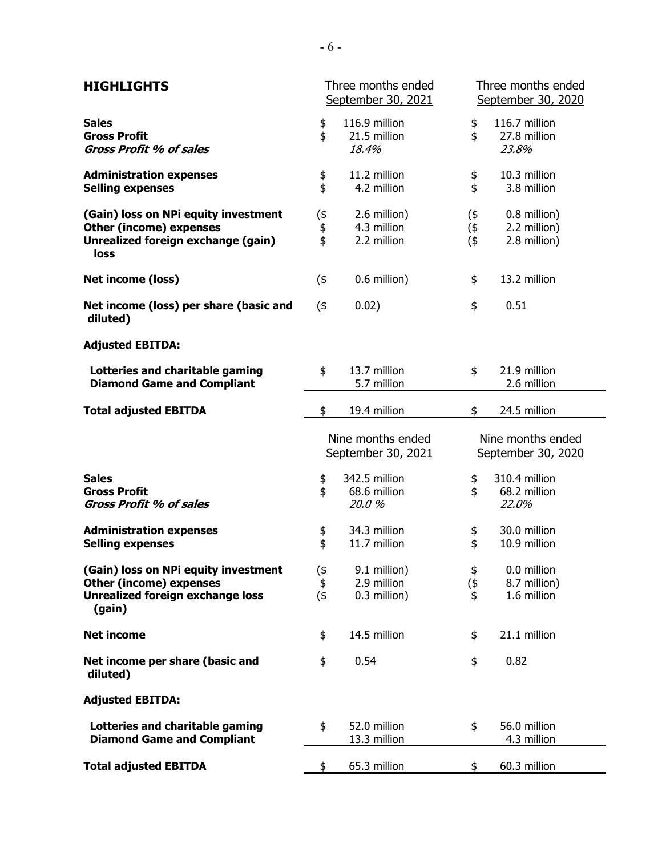| <b>HIGHLIGHTS</b>                                                                                                           | Three months ended<br>September 30, 2021 |                                             |                         | Three months ended<br>September 30, 2020     |
|-----------------------------------------------------------------------------------------------------------------------------|------------------------------------------|---------------------------------------------|-------------------------|----------------------------------------------|
| <b>Sales</b><br><b>Gross Profit</b><br><b>Gross Profit % of sales</b>                                                       | \$<br>\$                                 | 116.9 million<br>21.5 million<br>18.4%      | \$<br>\$                | 116.7 million<br>27.8 million<br>23.8%       |
| <b>Administration expenses</b><br><b>Selling expenses</b>                                                                   | \$<br>\$                                 | 11.2 million<br>4.2 million                 | \$<br>\$                | 10.3 million<br>3.8 million                  |
| (Gain) loss on NPi equity investment<br><b>Other (income) expenses</b><br>Unrealized foreign exchange (gain)<br>loss        | (\$<br>$\frac{6}{9}$                     | 2.6 million)<br>4.3 million<br>2.2 million  | $($ \$<br>(\$<br>$($ \$ | 0.8 million)<br>2.2 million)<br>2.8 million) |
| Net income (loss)                                                                                                           | $($ \$                                   | 0.6 million)                                | \$                      | 13.2 million                                 |
| Net income (loss) per share (basic and<br>diluted)                                                                          | $($ \$                                   | 0.02)                                       | \$                      | 0.51                                         |
| <b>Adjusted EBITDA:</b>                                                                                                     |                                          |                                             |                         |                                              |
| Lotteries and charitable gaming<br><b>Diamond Game and Compliant</b>                                                        | \$                                       | 13.7 million<br>5.7 million                 | \$                      | 21.9 million<br>2.6 million                  |
| <b>Total adjusted EBITDA</b>                                                                                                | \$                                       | 19.4 million                                | \$                      | 24.5 million                                 |
|                                                                                                                             | Nine months ended<br>September 30, 2021  |                                             |                         |                                              |
|                                                                                                                             |                                          |                                             |                         | Nine months ended<br>September 30, 2020      |
| <b>Sales</b><br><b>Gross Profit</b><br><b>Gross Profit % of sales</b>                                                       | \$<br>\$                                 | 342.5 million<br>68.6 million<br>20.0%      | \$<br>\$                | 310.4 million<br>68.2 million<br>22.0%       |
| <b>Administration expenses</b><br><b>Selling expenses</b>                                                                   | \$<br>\$                                 | 34.3 million<br>11.7 million                | \$<br>\$                | 30.0 million<br>10.9 million                 |
| (Gain) loss on NPi equity investment<br><b>Other (income) expenses</b><br><b>Unrealized foreign exchange loss</b><br>(gain) | (\$<br>\$<br>(4)                         | 9.1 million)<br>2.9 million<br>0.3 million) | \$<br>(\$<br>\$         | 0.0 million<br>8.7 million)<br>1.6 million   |
| <b>Net income</b>                                                                                                           | \$                                       | 14.5 million                                | \$                      | 21.1 million                                 |
| Net income per share (basic and<br>diluted)                                                                                 | \$                                       | 0.54                                        | \$                      | 0.82                                         |
| <b>Adjusted EBITDA:</b>                                                                                                     |                                          |                                             |                         |                                              |
| Lotteries and charitable gaming<br><b>Diamond Game and Compliant</b>                                                        | \$                                       | 52.0 million<br>13.3 million                | \$                      | 56.0 million<br>4.3 million                  |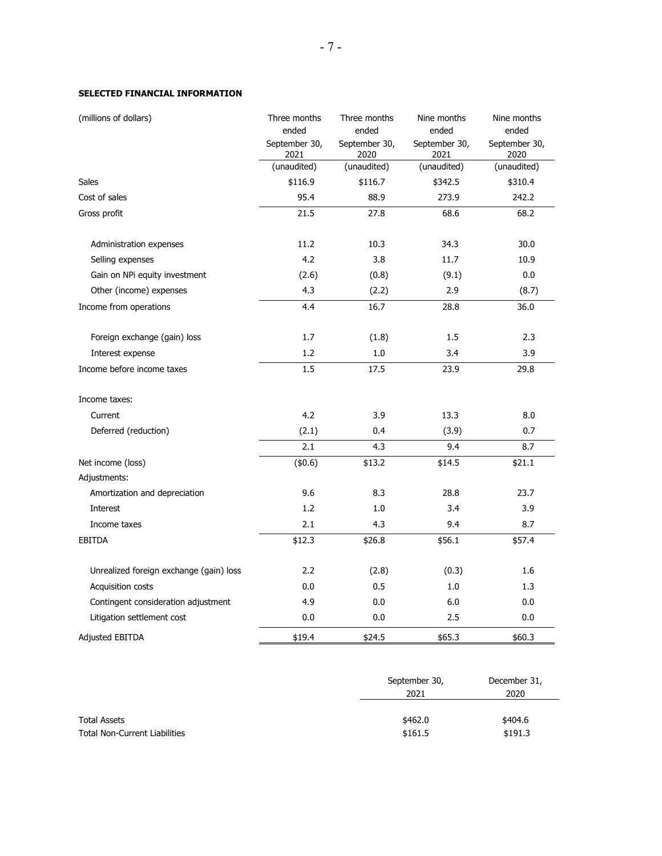#### **SELECTED FINANCIAL INFORMATION**

| (millions of dollars)                   | Three months          | Three months          | Nine months           | Nine months           |
|-----------------------------------------|-----------------------|-----------------------|-----------------------|-----------------------|
|                                         | ended                 | ended                 | ended                 | ended                 |
|                                         | September 30,<br>2021 | September 30,<br>2020 | September 30,<br>2021 | September 30,<br>2020 |
|                                         | (unaudited)           | (unaudited)           | (unaudited)           | (unaudited)           |
| Sales                                   | \$116.9               | \$116.7               | \$342.5               | \$310.4               |
| Cost of sales                           | 95.4                  | 88.9                  | 273.9                 | 242.2                 |
| Gross profit                            | 21.5                  | 27.8                  | 68.6                  | 68.2                  |
| Administration expenses                 | 11.2                  | 10.3                  | 34.3                  | 30.0                  |
| Selling expenses                        | 4.2                   | 3.8                   | 11.7                  | 10.9                  |
| Gain on NPi equity investment           | (2.6)                 | (0.8)                 | (9.1)                 | 0.0                   |
| Other (income) expenses                 | 4.3                   | (2.2)                 | 2.9                   | (8.7)                 |
| Income from operations                  | 4.4                   | 16.7                  | 28.8                  | 36.0                  |
| Foreign exchange (gain) loss            | 1.7                   | (1.8)                 | 1.5                   | 2.3                   |
| Interest expense                        | 1.2                   | 1.0                   | 3.4                   | 3.9                   |
| Income before income taxes              | 1.5                   | 17.5                  | 23.9                  | 29.8                  |
| Income taxes:                           |                       |                       |                       |                       |
| Current                                 | 4.2                   | 3.9                   | 13.3                  | 8.0                   |
| Deferred (reduction)                    | (2.1)                 | 0.4                   | (3.9)                 | 0.7                   |
|                                         | 2.1                   | 4.3                   | 9.4                   | 8.7                   |
| Net income (loss)                       | (\$0.6)               | \$13.2                | \$14.5                | \$21.1                |
| Adjustments:                            |                       |                       |                       |                       |
| Amortization and depreciation           | 9.6                   | 8.3                   | 28.8                  | 23.7                  |
| Interest                                | 1.2                   | 1.0                   | 3.4                   | 3.9                   |
| Income taxes                            | 2.1                   | 4.3                   | 9.4                   | 8.7                   |
| <b>EBITDA</b>                           | \$12.3                | \$26.8                | \$56.1                | \$57.4                |
| Unrealized foreign exchange (gain) loss | 2.2                   | (2.8)                 | (0.3)                 | 1.6                   |
| Acquisition costs                       | 0.0                   | 0.5                   | 1.0                   | 1.3                   |
| Contingent consideration adjustment     | 4.9                   | 0.0                   | 6.0                   | 0.0                   |
| Litigation settlement cost              | 0.0                   | 0.0                   | 2.5                   | 0.0                   |
| Adjusted EBITDA                         | \$19.4                | \$24.5                | \$65.3                | \$60.3                |

|                                      | September 30, | December 31, |  |
|--------------------------------------|---------------|--------------|--|
|                                      | 2021          | 2020         |  |
|                                      |               |              |  |
| <b>Total Assets</b>                  | \$462.0       | \$404.6      |  |
| <b>Total Non-Current Liabilities</b> | \$161.5       | \$191.3      |  |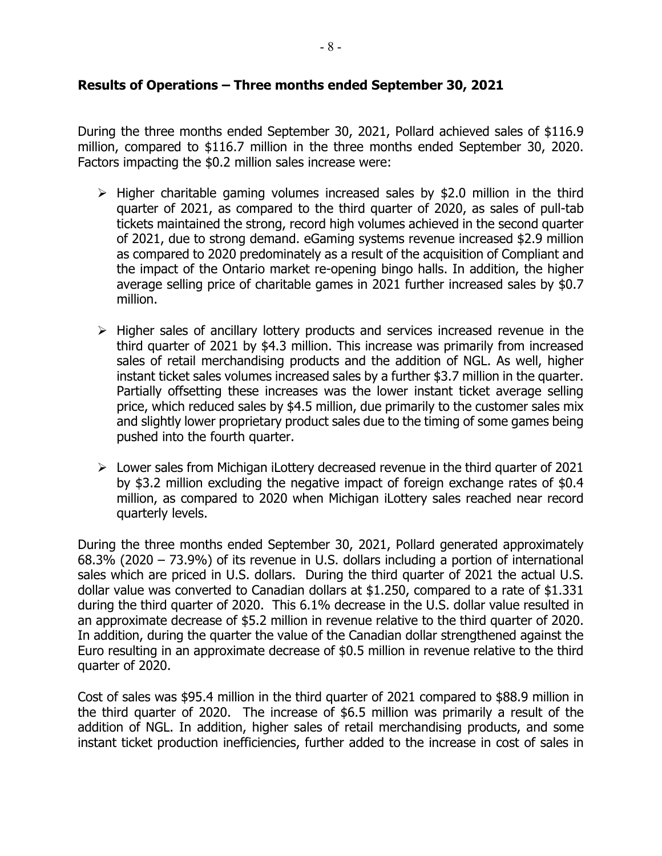### **Results of Operations – Three months ended September 30, 2021**

During the three months ended September 30, 2021, Pollard achieved sales of \$116.9 million, compared to \$116.7 million in the three months ended September 30, 2020. Factors impacting the \$0.2 million sales increase were:

- $\triangleright$  Higher charitable gaming volumes increased sales by \$2.0 million in the third quarter of 2021, as compared to the third quarter of 2020, as sales of pull-tab tickets maintained the strong, record high volumes achieved in the second quarter of 2021, due to strong demand. eGaming systems revenue increased \$2.9 million as compared to 2020 predominately as a result of the acquisition of Compliant and the impact of the Ontario market re-opening bingo halls. In addition, the higher average selling price of charitable games in 2021 further increased sales by \$0.7 million.
- $\triangleright$  Higher sales of ancillary lottery products and services increased revenue in the third quarter of 2021 by \$4.3 million. This increase was primarily from increased sales of retail merchandising products and the addition of NGL. As well, higher instant ticket sales volumes increased sales by a further \$3.7 million in the quarter. Partially offsetting these increases was the lower instant ticket average selling price, which reduced sales by \$4.5 million, due primarily to the customer sales mix and slightly lower proprietary product sales due to the timing of some games being pushed into the fourth quarter.
- $\triangleright$  Lower sales from Michigan iLottery decreased revenue in the third quarter of 2021 by \$3.2 million excluding the negative impact of foreign exchange rates of \$0.4 million, as compared to 2020 when Michigan iLottery sales reached near record quarterly levels.

During the three months ended September 30, 2021, Pollard generated approximately 68.3% (2020 – 73.9%) of its revenue in U.S. dollars including a portion of international sales which are priced in U.S. dollars. During the third quarter of 2021 the actual U.S. dollar value was converted to Canadian dollars at \$1.250, compared to a rate of \$1.331 during the third quarter of 2020. This 6.1% decrease in the U.S. dollar value resulted in an approximate decrease of \$5.2 million in revenue relative to the third quarter of 2020. In addition, during the quarter the value of the Canadian dollar strengthened against the Euro resulting in an approximate decrease of \$0.5 million in revenue relative to the third quarter of 2020.

Cost of sales was \$95.4 million in the third quarter of 2021 compared to \$88.9 million in the third quarter of 2020. The increase of \$6.5 million was primarily a result of the addition of NGL. In addition, higher sales of retail merchandising products, and some instant ticket production inefficiencies, further added to the increase in cost of sales in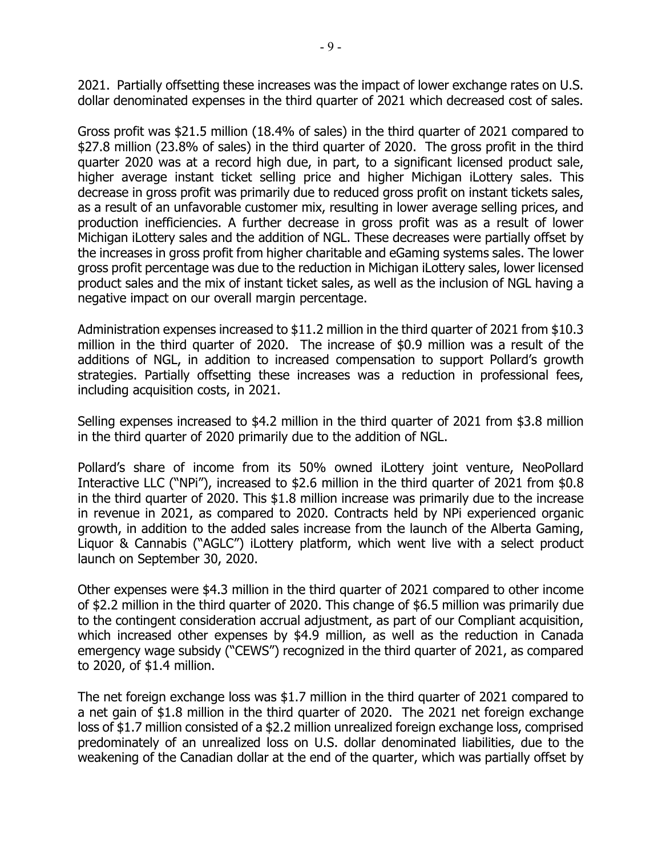2021. Partially offsetting these increases was the impact of lower exchange rates on U.S. dollar denominated expenses in the third quarter of 2021 which decreased cost of sales.

Gross profit was \$21.5 million (18.4% of sales) in the third quarter of 2021 compared to \$27.8 million (23.8% of sales) in the third quarter of 2020. The gross profit in the third quarter 2020 was at a record high due, in part, to a significant licensed product sale, higher average instant ticket selling price and higher Michigan iLottery sales. This decrease in gross profit was primarily due to reduced gross profit on instant tickets sales, as a result of an unfavorable customer mix, resulting in lower average selling prices, and production inefficiencies. A further decrease in gross profit was as a result of lower Michigan iLottery sales and the addition of NGL. These decreases were partially offset by the increases in gross profit from higher charitable and eGaming systems sales. The lower gross profit percentage was due to the reduction in Michigan iLottery sales, lower licensed product sales and the mix of instant ticket sales, as well as the inclusion of NGL having a negative impact on our overall margin percentage.

Administration expenses increased to \$11.2 million in the third quarter of 2021 from \$10.3 million in the third quarter of 2020. The increase of \$0.9 million was a result of the additions of NGL, in addition to increased compensation to support Pollard's growth strategies. Partially offsetting these increases was a reduction in professional fees, including acquisition costs, in 2021.

Selling expenses increased to \$4.2 million in the third quarter of 2021 from \$3.8 million in the third quarter of 2020 primarily due to the addition of NGL.

Pollard's share of income from its 50% owned iLottery joint venture, NeoPollard Interactive LLC ("NPi"), increased to \$2.6 million in the third quarter of 2021 from \$0.8 in the third quarter of 2020. This \$1.8 million increase was primarily due to the increase in revenue in 2021, as compared to 2020. Contracts held by NPi experienced organic growth, in addition to the added sales increase from the launch of the Alberta Gaming, Liquor & Cannabis ("AGLC") iLottery platform, which went live with a select product launch on September 30, 2020.

Other expenses were \$4.3 million in the third quarter of 2021 compared to other income of \$2.2 million in the third quarter of 2020. This change of \$6.5 million was primarily due to the contingent consideration accrual adjustment, as part of our Compliant acquisition, which increased other expenses by \$4.9 million, as well as the reduction in Canada emergency wage subsidy ("CEWS") recognized in the third quarter of 2021, as compared to 2020, of \$1.4 million.

The net foreign exchange loss was \$1.7 million in the third quarter of 2021 compared to a net gain of \$1.8 million in the third quarter of 2020. The 2021 net foreign exchange loss of \$1.7 million consisted of a \$2.2 million unrealized foreign exchange loss, comprised predominately of an unrealized loss on U.S. dollar denominated liabilities, due to the weakening of the Canadian dollar at the end of the quarter, which was partially offset by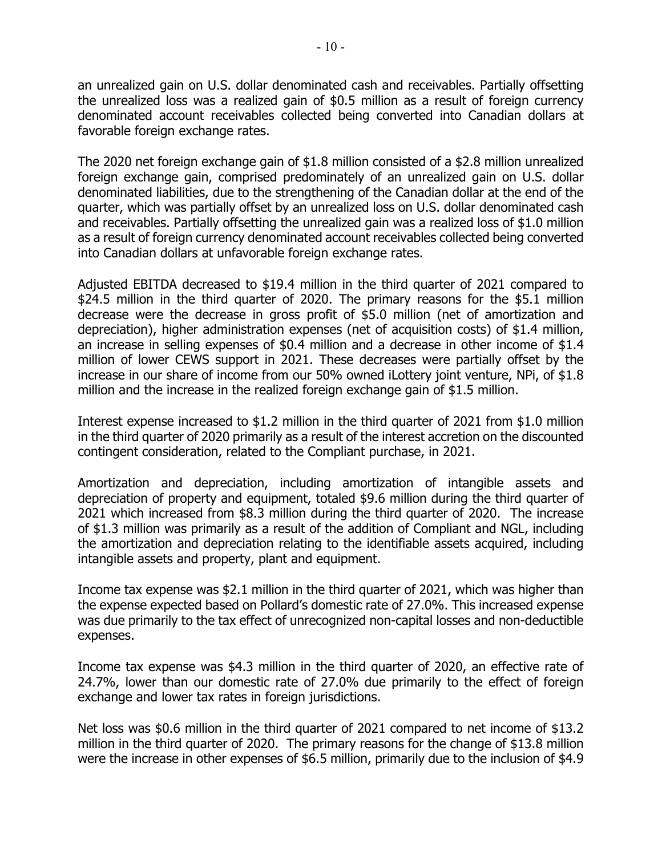an unrealized gain on U.S. dollar denominated cash and receivables. Partially offsetting the unrealized loss was a realized gain of \$0.5 million as a result of foreign currency denominated account receivables collected being converted into Canadian dollars at favorable foreign exchange rates.

The 2020 net foreign exchange gain of \$1.8 million consisted of a \$2.8 million unrealized foreign exchange gain, comprised predominately of an unrealized gain on U.S. dollar denominated liabilities, due to the strengthening of the Canadian dollar at the end of the quarter, which was partially offset by an unrealized loss on U.S. dollar denominated cash and receivables. Partially offsetting the unrealized gain was a realized loss of \$1.0 million as a result of foreign currency denominated account receivables collected being converted into Canadian dollars at unfavorable foreign exchange rates.

Adjusted EBITDA decreased to \$19.4 million in the third quarter of 2021 compared to \$24.5 million in the third quarter of 2020. The primary reasons for the \$5.1 million decrease were the decrease in gross profit of \$5.0 million (net of amortization and depreciation), higher administration expenses (net of acquisition costs) of \$1.4 million, an increase in selling expenses of \$0.4 million and a decrease in other income of \$1.4 million of lower CEWS support in 2021. These decreases were partially offset by the increase in our share of income from our 50% owned iLottery joint venture, NPi, of \$1.8 million and the increase in the realized foreign exchange gain of \$1.5 million.

Interest expense increased to \$1.2 million in the third quarter of 2021 from \$1.0 million in the third quarter of 2020 primarily as a result of the interest accretion on the discounted contingent consideration, related to the Compliant purchase, in 2021.

Amortization and depreciation, including amortization of intangible assets and depreciation of property and equipment, totaled \$9.6 million during the third quarter of 2021 which increased from \$8.3 million during the third quarter of 2020. The increase of \$1.3 million was primarily as a result of the addition of Compliant and NGL, including the amortization and depreciation relating to the identifiable assets acquired, including intangible assets and property, plant and equipment.

Income tax expense was \$2.1 million in the third quarter of 2021, which was higher than the expense expected based on Pollard's domestic rate of 27.0%. This increased expense was due primarily to the tax effect of unrecognized non-capital losses and non-deductible expenses.

Income tax expense was \$4.3 million in the third quarter of 2020, an effective rate of 24.7%, lower than our domestic rate of 27.0% due primarily to the effect of foreign exchange and lower tax rates in foreign jurisdictions.

Net loss was \$0.6 million in the third quarter of 2021 compared to net income of \$13.2 million in the third quarter of 2020. The primary reasons for the change of \$13.8 million were the increase in other expenses of \$6.5 million, primarily due to the inclusion of \$4.9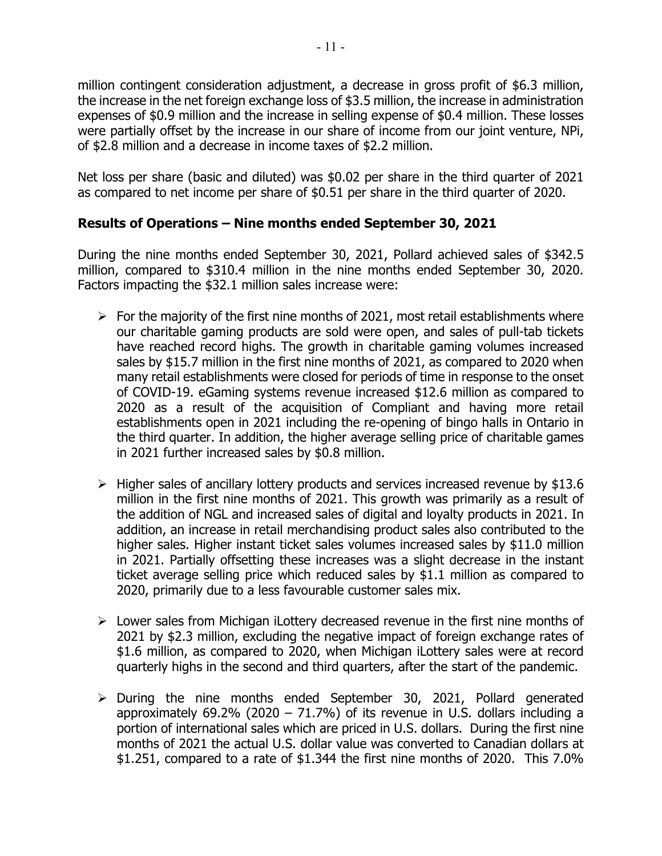million contingent consideration adjustment, a decrease in gross profit of \$6.3 million, the increase in the net foreign exchange loss of \$3.5 million, the increase in administration expenses of \$0.9 million and the increase in selling expense of \$0.4 million. These losses were partially offset by the increase in our share of income from our joint venture, NPi, of \$2.8 million and a decrease in income taxes of \$2.2 million.

Net loss per share (basic and diluted) was \$0.02 per share in the third quarter of 2021 as compared to net income per share of \$0.51 per share in the third quarter of 2020.

# **Results of Operations – Nine months ended September 30, 2021**

During the nine months ended September 30, 2021, Pollard achieved sales of \$342.5 million, compared to \$310.4 million in the nine months ended September 30, 2020. Factors impacting the \$32.1 million sales increase were:

- $\triangleright$  For the majority of the first nine months of 2021, most retail establishments where our charitable gaming products are sold were open, and sales of pull-tab tickets have reached record highs. The growth in charitable gaming volumes increased sales by \$15.7 million in the first nine months of 2021, as compared to 2020 when many retail establishments were closed for periods of time in response to the onset of COVID-19. eGaming systems revenue increased \$12.6 million as compared to 2020 as a result of the acquisition of Compliant and having more retail establishments open in 2021 including the re-opening of bingo halls in Ontario in the third quarter. In addition, the higher average selling price of charitable games in 2021 further increased sales by \$0.8 million.
- $\triangleright$  Higher sales of ancillary lottery products and services increased revenue by \$13.6 million in the first nine months of 2021. This growth was primarily as a result of the addition of NGL and increased sales of digital and loyalty products in 2021. In addition, an increase in retail merchandising product sales also contributed to the higher sales. Higher instant ticket sales volumes increased sales by \$11.0 million in 2021. Partially offsetting these increases was a slight decrease in the instant ticket average selling price which reduced sales by \$1.1 million as compared to 2020, primarily due to a less favourable customer sales mix.
- $\triangleright$  Lower sales from Michigan iLottery decreased revenue in the first nine months of 2021 by \$2.3 million, excluding the negative impact of foreign exchange rates of \$1.6 million, as compared to 2020, when Michigan iLottery sales were at record quarterly highs in the second and third quarters, after the start of the pandemic.
- $\triangleright$  During the nine months ended September 30, 2021, Pollard generated approximately 69.2% (2020 – 71.7%) of its revenue in U.S. dollars including a portion of international sales which are priced in U.S. dollars. During the first nine months of 2021 the actual U.S. dollar value was converted to Canadian dollars at \$1.251, compared to a rate of \$1.344 the first nine months of 2020. This 7.0%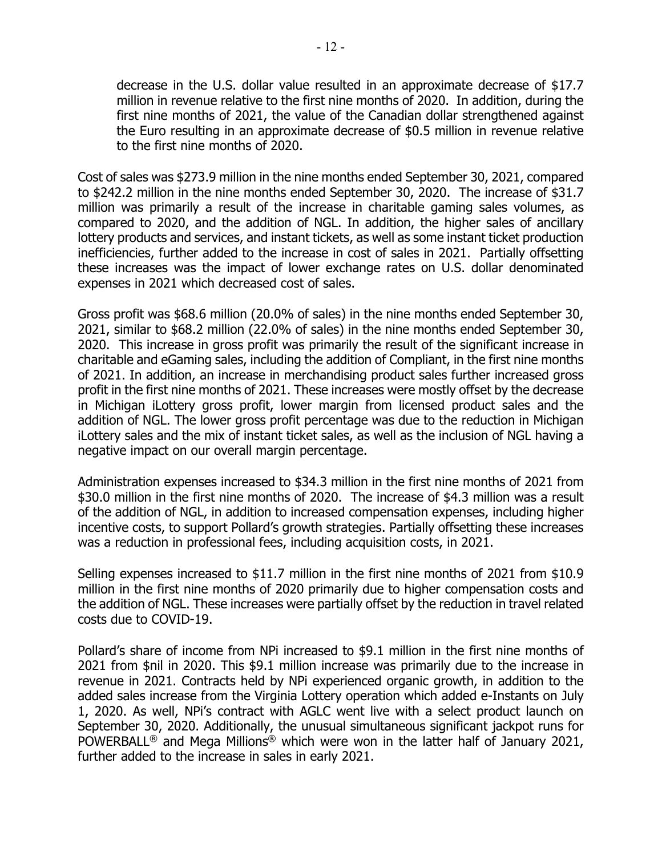decrease in the U.S. dollar value resulted in an approximate decrease of \$17.7 million in revenue relative to the first nine months of 2020. In addition, during the first nine months of 2021, the value of the Canadian dollar strengthened against the Euro resulting in an approximate decrease of \$0.5 million in revenue relative to the first nine months of 2020.

Cost of sales was \$273.9 million in the nine months ended September 30, 2021, compared to \$242.2 million in the nine months ended September 30, 2020. The increase of \$31.7 million was primarily a result of the increase in charitable gaming sales volumes, as compared to 2020, and the addition of NGL. In addition, the higher sales of ancillary lottery products and services, and instant tickets, as well as some instant ticket production inefficiencies, further added to the increase in cost of sales in 2021. Partially offsetting these increases was the impact of lower exchange rates on U.S. dollar denominated expenses in 2021 which decreased cost of sales.

Gross profit was \$68.6 million (20.0% of sales) in the nine months ended September 30, 2021, similar to \$68.2 million (22.0% of sales) in the nine months ended September 30, 2020. This increase in gross profit was primarily the result of the significant increase in charitable and eGaming sales, including the addition of Compliant, in the first nine months of 2021. In addition, an increase in merchandising product sales further increased gross profit in the first nine months of 2021. These increases were mostly offset by the decrease in Michigan iLottery gross profit, lower margin from licensed product sales and the addition of NGL. The lower gross profit percentage was due to the reduction in Michigan iLottery sales and the mix of instant ticket sales, as well as the inclusion of NGL having a negative impact on our overall margin percentage.

Administration expenses increased to \$34.3 million in the first nine months of 2021 from \$30.0 million in the first nine months of 2020. The increase of \$4.3 million was a result of the addition of NGL, in addition to increased compensation expenses, including higher incentive costs, to support Pollard's growth strategies. Partially offsetting these increases was a reduction in professional fees, including acquisition costs, in 2021.

Selling expenses increased to \$11.7 million in the first nine months of 2021 from \$10.9 million in the first nine months of 2020 primarily due to higher compensation costs and the addition of NGL. These increases were partially offset by the reduction in travel related costs due to COVID-19.

Pollard's share of income from NPi increased to \$9.1 million in the first nine months of 2021 from \$nil in 2020. This \$9.1 million increase was primarily due to the increase in revenue in 2021. Contracts held by NPi experienced organic growth, in addition to the added sales increase from the Virginia Lottery operation which added e-Instants on July 1, 2020. As well, NPi's contract with AGLC went live with a select product launch on September 30, 2020. Additionally, the unusual simultaneous significant jackpot runs for POWERBALL<sup>®</sup> and Mega Millions<sup>®</sup> which were won in the latter half of January 2021, further added to the increase in sales in early 2021.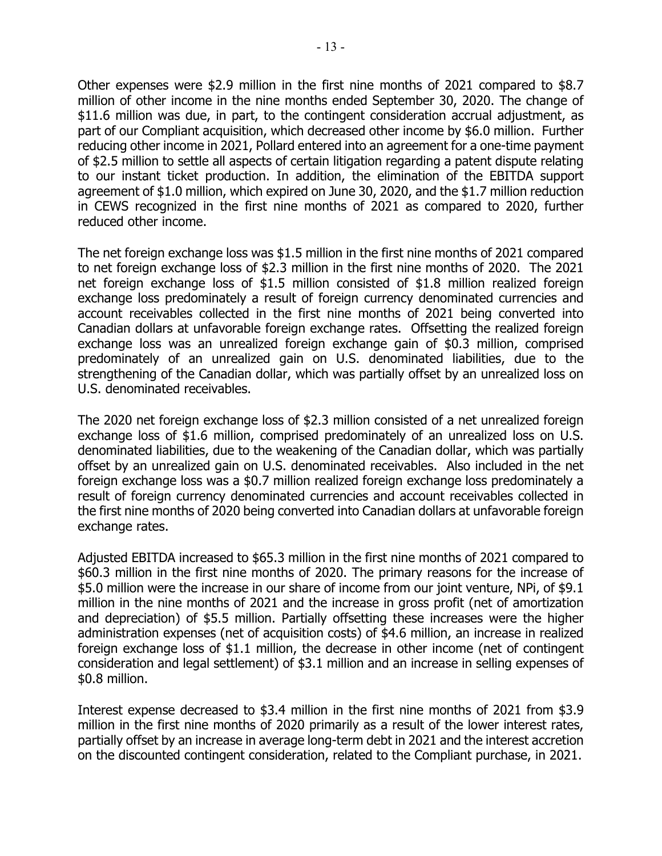Other expenses were \$2.9 million in the first nine months of 2021 compared to \$8.7 million of other income in the nine months ended September 30, 2020. The change of \$11.6 million was due, in part, to the contingent consideration accrual adjustment, as part of our Compliant acquisition, which decreased other income by \$6.0 million. Further reducing other income in 2021, Pollard entered into an agreement for a one-time payment of \$2.5 million to settle all aspects of certain litigation regarding a patent dispute relating to our instant ticket production. In addition, the elimination of the EBITDA support agreement of \$1.0 million, which expired on June 30, 2020, and the \$1.7 million reduction in CEWS recognized in the first nine months of 2021 as compared to 2020, further reduced other income.

The net foreign exchange loss was \$1.5 million in the first nine months of 2021 compared to net foreign exchange loss of \$2.3 million in the first nine months of 2020. The 2021 net foreign exchange loss of \$1.5 million consisted of \$1.8 million realized foreign exchange loss predominately a result of foreign currency denominated currencies and account receivables collected in the first nine months of 2021 being converted into Canadian dollars at unfavorable foreign exchange rates. Offsetting the realized foreign exchange loss was an unrealized foreign exchange gain of \$0.3 million, comprised predominately of an unrealized gain on U.S. denominated liabilities, due to the strengthening of the Canadian dollar, which was partially offset by an unrealized loss on U.S. denominated receivables.

The 2020 net foreign exchange loss of \$2.3 million consisted of a net unrealized foreign exchange loss of \$1.6 million, comprised predominately of an unrealized loss on U.S. denominated liabilities, due to the weakening of the Canadian dollar, which was partially offset by an unrealized gain on U.S. denominated receivables. Also included in the net foreign exchange loss was a \$0.7 million realized foreign exchange loss predominately a result of foreign currency denominated currencies and account receivables collected in the first nine months of 2020 being converted into Canadian dollars at unfavorable foreign exchange rates.

Adjusted EBITDA increased to \$65.3 million in the first nine months of 2021 compared to \$60.3 million in the first nine months of 2020. The primary reasons for the increase of \$5.0 million were the increase in our share of income from our joint venture, NPi, of \$9.1 million in the nine months of 2021 and the increase in gross profit (net of amortization and depreciation) of \$5.5 million. Partially offsetting these increases were the higher administration expenses (net of acquisition costs) of \$4.6 million, an increase in realized foreign exchange loss of \$1.1 million, the decrease in other income (net of contingent consideration and legal settlement) of \$3.1 million and an increase in selling expenses of \$0.8 million.

Interest expense decreased to \$3.4 million in the first nine months of 2021 from \$3.9 million in the first nine months of 2020 primarily as a result of the lower interest rates, partially offset by an increase in average long-term debt in 2021 and the interest accretion on the discounted contingent consideration, related to the Compliant purchase, in 2021.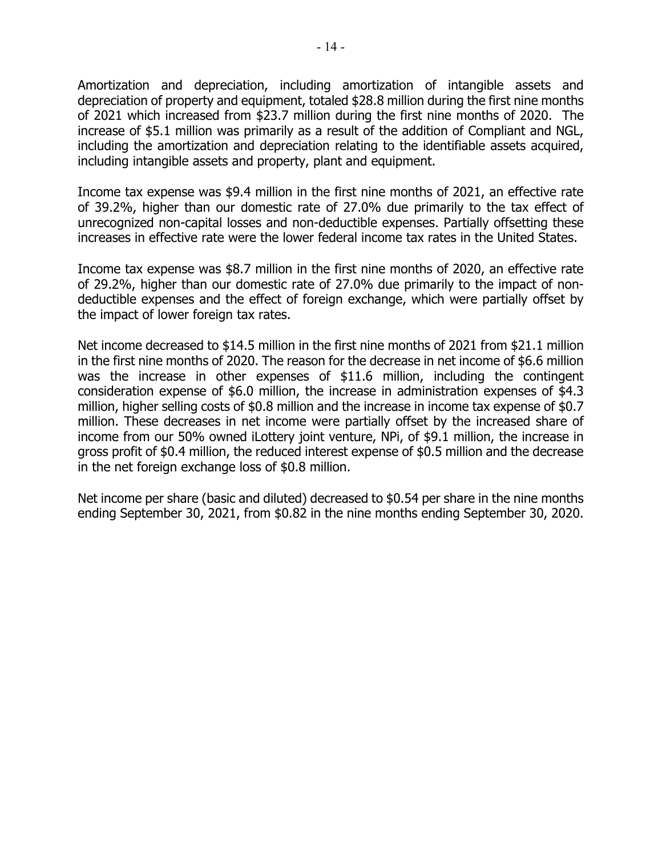Amortization and depreciation, including amortization of intangible assets and depreciation of property and equipment, totaled \$28.8 million during the first nine months of 2021 which increased from \$23.7 million during the first nine months of 2020. The increase of \$5.1 million was primarily as a result of the addition of Compliant and NGL, including the amortization and depreciation relating to the identifiable assets acquired, including intangible assets and property, plant and equipment.

Income tax expense was \$9.4 million in the first nine months of 2021, an effective rate of 39.2%, higher than our domestic rate of 27.0% due primarily to the tax effect of unrecognized non-capital losses and non-deductible expenses. Partially offsetting these increases in effective rate were the lower federal income tax rates in the United States.

Income tax expense was \$8.7 million in the first nine months of 2020, an effective rate of 29.2%, higher than our domestic rate of 27.0% due primarily to the impact of nondeductible expenses and the effect of foreign exchange, which were partially offset by the impact of lower foreign tax rates.

Net income decreased to \$14.5 million in the first nine months of 2021 from \$21.1 million in the first nine months of 2020. The reason for the decrease in net income of \$6.6 million was the increase in other expenses of \$11.6 million, including the contingent consideration expense of \$6.0 million, the increase in administration expenses of \$4.3 million, higher selling costs of \$0.8 million and the increase in income tax expense of \$0.7 million. These decreases in net income were partially offset by the increased share of income from our 50% owned iLottery joint venture, NPi, of \$9.1 million, the increase in gross profit of \$0.4 million, the reduced interest expense of \$0.5 million and the decrease in the net foreign exchange loss of \$0.8 million.

Net income per share (basic and diluted) decreased to \$0.54 per share in the nine months ending September 30, 2021, from \$0.82 in the nine months ending September 30, 2020.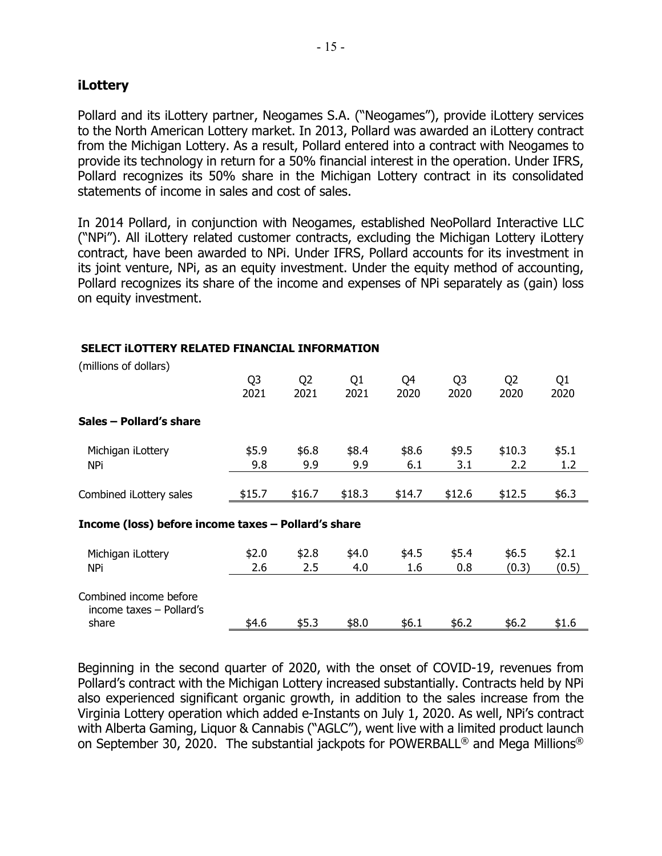## **iLottery**

Pollard and its iLottery partner, Neogames S.A. ("Neogames"), provide iLottery services to the North American Lottery market. In 2013, Pollard was awarded an iLottery contract from the Michigan Lottery. As a result, Pollard entered into a contract with Neogames to provide its technology in return for a 50% financial interest in the operation. Under IFRS, Pollard recognizes its 50% share in the Michigan Lottery contract in its consolidated statements of income in sales and cost of sales.

In 2014 Pollard, in conjunction with Neogames, established NeoPollard Interactive LLC ("NPi"). All iLottery related customer contracts, excluding the Michigan Lottery iLottery contract, have been awarded to NPi. Under IFRS, Pollard accounts for its investment in its joint venture, NPi, as an equity investment. Under the equity method of accounting, Pollard recognizes its share of the income and expenses of NPi separately as (gain) loss on equity investment.

| (millions of dollars)                               |                |                |        |        |                |                |       |
|-----------------------------------------------------|----------------|----------------|--------|--------|----------------|----------------|-------|
|                                                     | Q <sub>3</sub> | Q <sub>2</sub> | Q1     | Q4     | Q <sub>3</sub> | Q <sub>2</sub> | Q1    |
|                                                     | 2021           | 2021           | 2021   | 2020   | 2020           | 2020           | 2020  |
| Sales - Pollard's share                             |                |                |        |        |                |                |       |
| Michigan iLottery                                   | \$5.9          | \$6.8\$        | \$8.4  | \$8.6  | \$9.5          | \$10.3         | \$5.1 |
| NPi                                                 | 9.8            | 9.9            | 9.9    | 6.1    | 3.1            | 2.2            | 1.2   |
|                                                     |                |                |        |        |                |                |       |
| Combined iLottery sales                             | \$15.7         | \$16.7         | \$18.3 | \$14.7 | \$12.6         | \$12.5         | \$6.3 |
| Income (loss) before income taxes - Pollard's share |                |                |        |        |                |                |       |
| Michigan iLottery                                   | \$2.0          | \$2.8          | \$4.0  | \$4.5  | \$5.4          | \$6.5          | \$2.1 |
| NPi                                                 | 2.6            | 2.5            | 4.0    | 1.6    | 0.8            | (0.3)          | (0.5) |
| Combined income before<br>income taxes - Pollard's  |                |                |        |        |                |                |       |
| share                                               | \$4.6          | \$5.3          | \$8.0  | \$6.1  | \$6.2          | \$6.2          | \$1.6 |

#### **SELECT iLOTTERY RELATED FINANCIAL INFORMATION**

Beginning in the second quarter of 2020, with the onset of COVID-19, revenues from Pollard's contract with the Michigan Lottery increased substantially. Contracts held by NPi also experienced significant organic growth, in addition to the sales increase from the Virginia Lottery operation which added e-Instants on July 1, 2020. As well, NPi's contract with Alberta Gaming, Liquor & Cannabis ("AGLC"), went live with a limited product launch on September 30, 2020. The substantial jackpots for POWERBALL® and Mega Millions®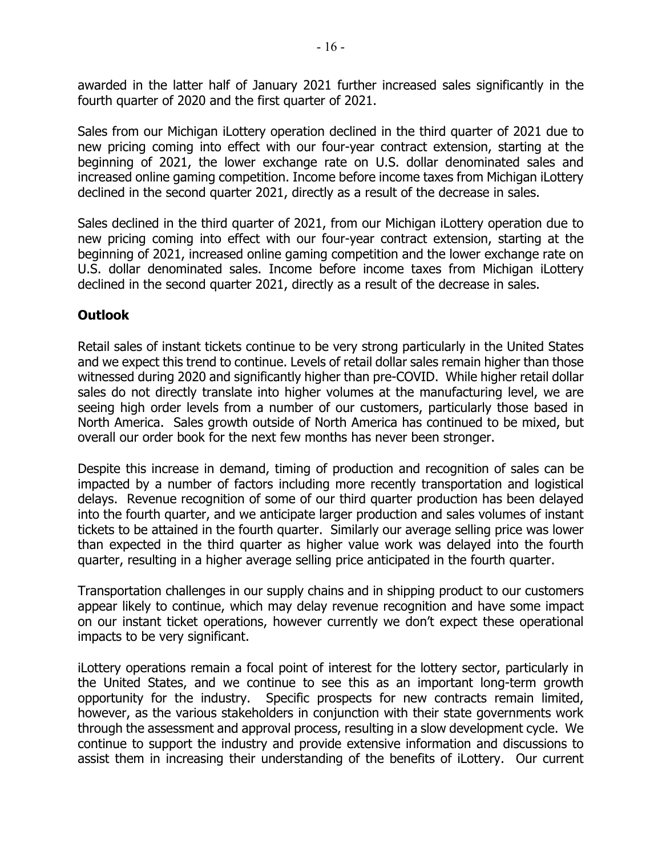awarded in the latter half of January 2021 further increased sales significantly in the fourth quarter of 2020 and the first quarter of 2021.

Sales from our Michigan iLottery operation declined in the third quarter of 2021 due to new pricing coming into effect with our four-year contract extension, starting at the beginning of 2021, the lower exchange rate on U.S. dollar denominated sales and increased online gaming competition. Income before income taxes from Michigan iLottery declined in the second quarter 2021, directly as a result of the decrease in sales.

Sales declined in the third quarter of 2021, from our Michigan iLottery operation due to new pricing coming into effect with our four-year contract extension, starting at the beginning of 2021, increased online gaming competition and the lower exchange rate on U.S. dollar denominated sales. Income before income taxes from Michigan iLottery declined in the second quarter 2021, directly as a result of the decrease in sales.

## **Outlook**

Retail sales of instant tickets continue to be very strong particularly in the United States and we expect this trend to continue. Levels of retail dollar sales remain higher than those witnessed during 2020 and significantly higher than pre-COVID. While higher retail dollar sales do not directly translate into higher volumes at the manufacturing level, we are seeing high order levels from a number of our customers, particularly those based in North America. Sales growth outside of North America has continued to be mixed, but overall our order book for the next few months has never been stronger.

Despite this increase in demand, timing of production and recognition of sales can be impacted by a number of factors including more recently transportation and logistical delays. Revenue recognition of some of our third quarter production has been delayed into the fourth quarter, and we anticipate larger production and sales volumes of instant tickets to be attained in the fourth quarter. Similarly our average selling price was lower than expected in the third quarter as higher value work was delayed into the fourth quarter, resulting in a higher average selling price anticipated in the fourth quarter.

Transportation challenges in our supply chains and in shipping product to our customers appear likely to continue, which may delay revenue recognition and have some impact on our instant ticket operations, however currently we don't expect these operational impacts to be very significant.

iLottery operations remain a focal point of interest for the lottery sector, particularly in the United States, and we continue to see this as an important long-term growth opportunity for the industry. Specific prospects for new contracts remain limited, however, as the various stakeholders in conjunction with their state governments work through the assessment and approval process, resulting in a slow development cycle. We continue to support the industry and provide extensive information and discussions to assist them in increasing their understanding of the benefits of iLottery. Our current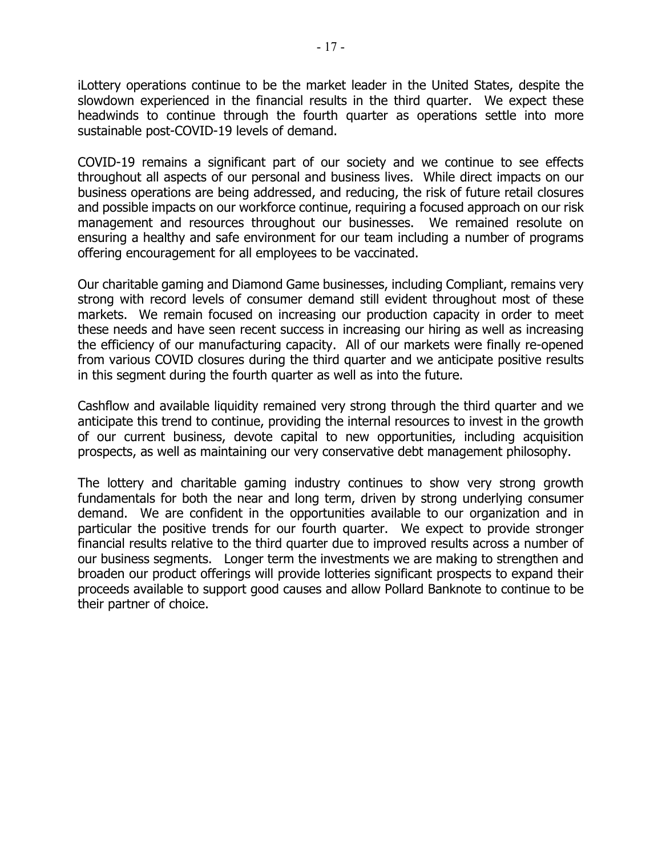iLottery operations continue to be the market leader in the United States, despite the slowdown experienced in the financial results in the third quarter. We expect these headwinds to continue through the fourth quarter as operations settle into more sustainable post-COVID-19 levels of demand.

COVID-19 remains a significant part of our society and we continue to see effects throughout all aspects of our personal and business lives. While direct impacts on our business operations are being addressed, and reducing, the risk of future retail closures and possible impacts on our workforce continue, requiring a focused approach on our risk management and resources throughout our businesses. We remained resolute on ensuring a healthy and safe environment for our team including a number of programs offering encouragement for all employees to be vaccinated.

Our charitable gaming and Diamond Game businesses, including Compliant, remains very strong with record levels of consumer demand still evident throughout most of these markets. We remain focused on increasing our production capacity in order to meet these needs and have seen recent success in increasing our hiring as well as increasing the efficiency of our manufacturing capacity. All of our markets were finally re-opened from various COVID closures during the third quarter and we anticipate positive results in this segment during the fourth quarter as well as into the future.

Cashflow and available liquidity remained very strong through the third quarter and we anticipate this trend to continue, providing the internal resources to invest in the growth of our current business, devote capital to new opportunities, including acquisition prospects, as well as maintaining our very conservative debt management philosophy.

The lottery and charitable gaming industry continues to show very strong growth fundamentals for both the near and long term, driven by strong underlying consumer demand. We are confident in the opportunities available to our organization and in particular the positive trends for our fourth quarter. We expect to provide stronger financial results relative to the third quarter due to improved results across a number of our business segments. Longer term the investments we are making to strengthen and broaden our product offerings will provide lotteries significant prospects to expand their proceeds available to support good causes and allow Pollard Banknote to continue to be their partner of choice.